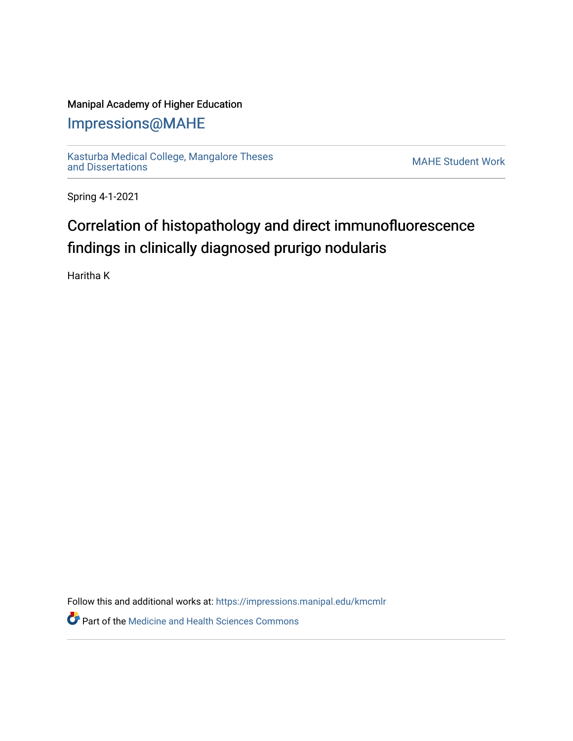## Manipal Academy of Higher Education

## [Impressions@MAHE](https://impressions.manipal.edu/)

[Kasturba Medical College, Mangalore Theses](https://impressions.manipal.edu/kmcmlr) Kasturba Medical College, Mangalore Theses<br>[and Dissertations](https://impressions.manipal.edu/kmcmlr) MAHE Student Work

Spring 4-1-2021

## Correlation of histopathology and direct immunofluorescence findings in clinically diagnosed prurigo nodularis

Haritha K

Follow this and additional works at: [https://impressions.manipal.edu/kmcmlr](https://impressions.manipal.edu/kmcmlr?utm_source=impressions.manipal.edu%2Fkmcmlr%2F175&utm_medium=PDF&utm_campaign=PDFCoverPages) 

**Part of the Medicine and Health Sciences Commons**